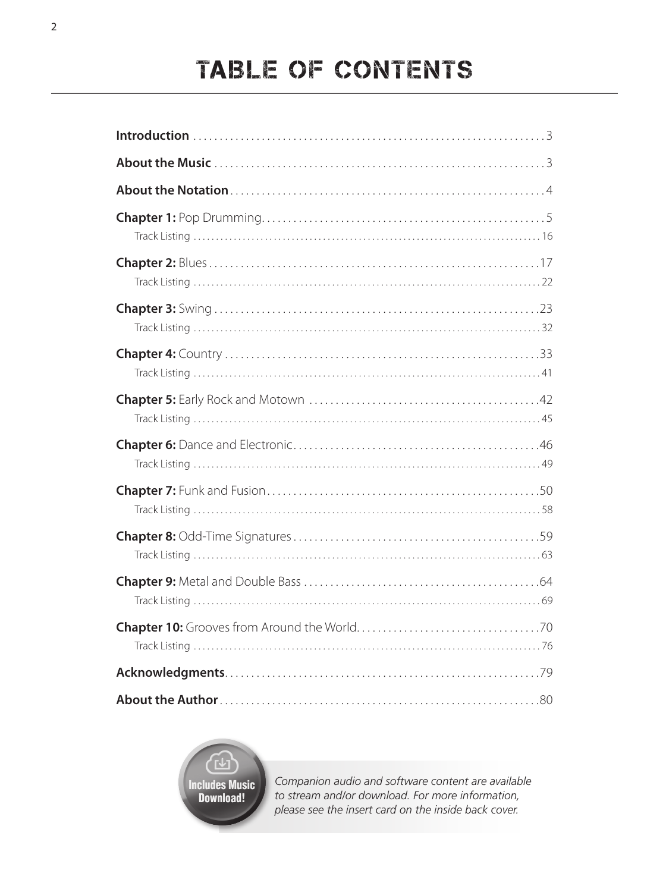# TABLE OF CONTENTS



*Companion audio and software content are available to stream and/or download. For more information, please see the insert card on the inside back cover.*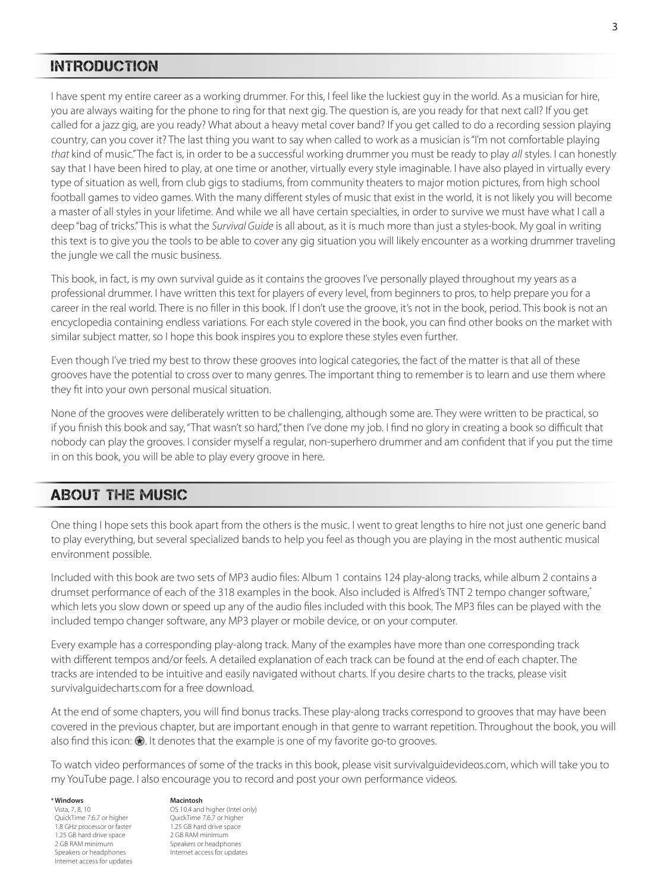#### INTRODUCTION

I have spent my entire career as a working drummer. For this, I feel like the luckiest guy in the world. As a musician for hire, you are always waiting for the phone to ring for that next gig. The question is, are you ready for that next call? If you get called for a jazz gig, are you ready? What about a heavy metal cover band? If you get called to do a recording session playing country, can you cover it? The last thing you want to say when called to work as a musician is "I'm not comfortable playing *that* kind of music." The fact is, in order to be a successful working drummer you must be ready to play *all* styles. I can honestly say that I have been hired to play, at one time or another, virtually every style imaginable. I have also played in virtually every type of situation as well, from club gigs to stadiums, from community theaters to major motion pictures, from high school football games to video games. With the many different styles of music that exist in the world, it is not likely you will become a master of all styles in your lifetime. And while we all have certain specialties, in order to survive we must have what I call a deep "bag of tricks." This is what the *Survival Guide* is all about, as it is much more than just a styles‑book. My goal in writing this text is to give you the tools to be able to cover any gig situation you will likely encounter as a working drummer traveling the jungle we call the music business.

This book, in fact, is my own survival guide as it contains the grooves I've personally played throughout my years as a professional drummer. I have written this text for players of every level, from beginners to pros, to help prepare you for a career in the real world. There is no filler in this book. If I don't use the groove, it's not in the book, period. This book is not an encyclopedia containing endless variations. For each style covered in the book, you can find other books on the market with similar subject matter, so I hope this book inspires you to explore these styles even further.

Even though I've tried my best to throw these grooves into logical categories, the fact of the matter is that all of these grooves have the potential to cross over to many genres. The important thing to remember is to learn and use them where they fit into your own personal musical situation.

None of the grooves were deliberately written to be challenging, although some are. They were written to be practical, so if you finish this book and say, "That wasn't so hard," then I've done my job. I find no glory in creating a book so difficult that nobody can play the grooves. I consider myself a regular, non‑superhero drummer and am confident that if you put the time in on this book, you will be able to play every groove in here.

## ABOUT THE MUSIC

One thing I hope sets this book apart from the others is the music. I went to great lengths to hire not just one generic band to play everything, but several specialized bands to help you feel as though you are playing in the most authentic musical environment possible.

Included with this book are two sets of MP3 audio files: Album 1 contains 124 play‑along tracks, while album 2 contains a drumset performance of each of the 318 examples in the book. Also included is Alfred's TNT 2 tempo changer software,\* which lets you slow down or speed up any of the audio files included with this book. The MP3 files can be played with the included tempo changer software, any MP3 player or mobile device, or on your computer.

Every example has a corresponding play‑along track. Many of the examples have more than one corresponding track with different tempos and/or feels. A detailed explanation of each track can be found at the end of each chapter. The tracks are intended to be intuitive and easily navigated without charts. If you desire charts to the tracks, please visit survivalguidecharts.com for a free download.

At the end of some chapters, you will find bonus tracks. These play-along tracks correspond to grooves that may have been covered in the previous chapter, but are important enough in that genre to warrant repetition. Throughout the book, you will also find this icon:  $\odot$ . It denotes that the example is one of my favorite go-to grooves.

To watch video performances of some of the tracks in this book, please visit survivalguidevideos.com, which will take you to my YouTube page. I also encourage you to record and post your own performance videos.

#### **Windows**

Vista, 7, 8, 10 QuickTime 7.6.7 or higher 1.8 GHz processor or faster 1.25 GB hard drive space 2 GB RAM minimum Speakers or headphones Internet access for updates

#### **Macintosh**

OS 10.4 and higher (Intel only) QuickTime 7.6.7 or higher 1.25 GB hard drive space 2 GB RAM minimum Speakers or headphones Internet access for updates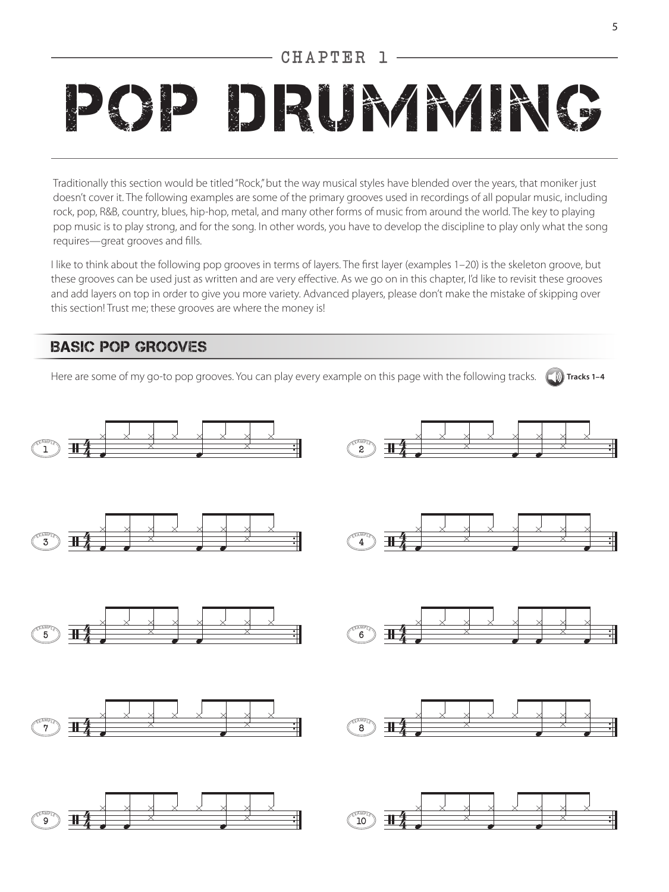### CHAPTER 1

# DRUMMING

Traditionally this section would be titled "Rock," but the way musical styles have blended over the years, that moniker just doesn't cover it. The following examples are some of the primary grooves used in recordings of all popular music, including rock, pop, R&B, country, blues, hip-hop, metal, and many other forms of music from around the world. The key to playing pop music is to play strong, and for the song. In other words, you have to develop the discipline to play only what the song requires—great grooves and fills.

I like to think about the following pop grooves in terms of layers. The first layer (examples 1–20) is the skeleton groove, but these grooves can be used just as written and are very effective. As we go on in this chapter, I'd like to revisit these grooves and add layers on top in order to give you more variety. Advanced players, please don't make the mistake of skipping over this section! Trust me; these grooves are where the money is!

### BASIC POP GROOVES

Here are some of my go-to pop grooves. You can play every example on this page with the following tracks. (C)) Tracks 1-4

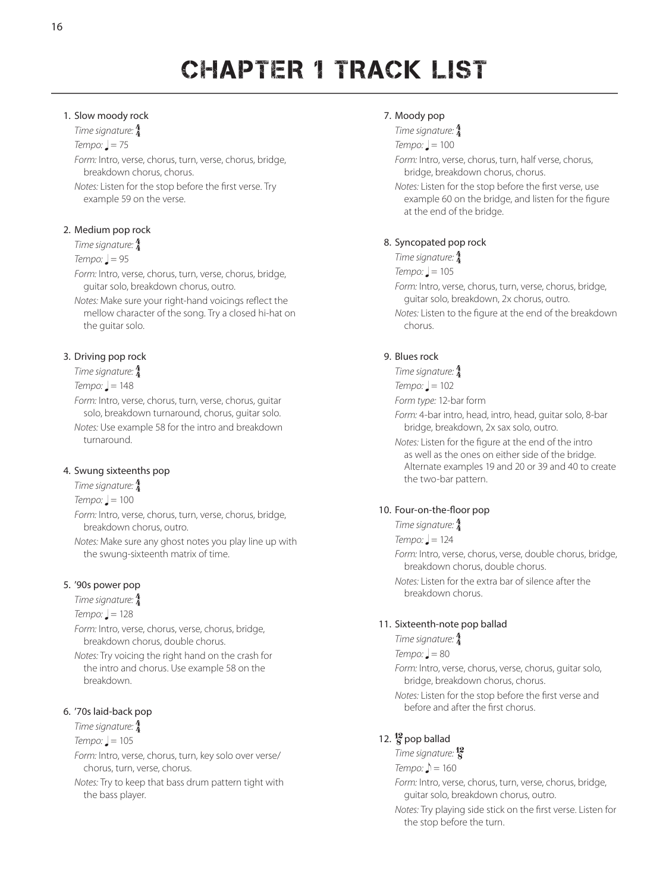# CHAPTER 1 TRACK LIST

#### 1. Slow moody rock

*Time signature:* 4 4

#### $Tempo:  $l = 75$$

*Form:* Intro, verse, chorus, turn, verse, chorus, bridge, breakdown chorus, chorus.

*Notes:* Listen for the stop before the first verse. Try example 59 on the verse.

#### 2. Medium pop rock

*Time signature:* 4 4

#### $Tempo:  $\underline{\mathsf{l}} = 95$$

*Form:* Intro, verse, chorus, turn, verse, chorus, bridge, guitar solo, breakdown chorus, outro.

*Notes:* Make sure your right‑hand voicings reflect the mellow character of the song. Try a closed hi‑hat on the guitar solo.

#### 3. Driving pop rock

*Time signature:* 4 4

 $Tempo: = 148$ 

*Form:* Intro, verse, chorus, turn, verse, chorus, guitar solo, breakdown turnaround, chorus, guitar solo. *Notes:* Use example 58 for the intro and breakdown turnaround.

#### 4. Swung sixteenths pop

*Time signature:* 4 4

 $Tempo:  $l = 100$$ 

*Form:* Intro, verse, chorus, turn, verse, chorus, bridge, breakdown chorus, outro.

*Notes:* Make sure any ghost notes you play line up with the swung‑sixteenth matrix of time.

#### 5. '90s power pop

*Time signature:* 4 4

#### $Tempo: = 128$

*Form:* Intro, verse, chorus, verse, chorus, bridge, breakdown chorus, double chorus.

*Notes:* Try voicing the right hand on the crash for the intro and chorus. Use example 58 on the breakdown.

#### 6. '70s laid‑back pop

## *Time signature:* 4 4

 $Tempo:  $l = 105$$ 

*Form:* Intro, verse, chorus, turn, key solo over verse/ chorus, turn, verse, chorus.

*Notes:* Try to keep that bass drum pattern tight with the bass player.

#### 7. Moody pop

*Time signature:* 4 4

 $Tempo: ] = 100$ 

*Form:* Intro, verse, chorus, turn, half verse, chorus, bridge, breakdown chorus, chorus.

*Notes:* Listen for the stop before the first verse, use example 60 on the bridge, and listen for the figure at the end of the bridge.

#### 8. Syncopated pop rock

*Time signature:* 4 4

 $Tempo: = 105$ 

*Form:* Intro, verse, chorus, turn, verse, chorus, bridge, guitar solo, breakdown, 2x chorus, outro.

*Notes:* Listen to the figure at the end of the breakdown chorus.

#### 9. Blues rock

*Time signature:* 4 4

 $Tempo: ] = 102$ 

*Form type:* 12‑bar form

*Form:* 4‑bar intro, head, intro, head, guitar solo, 8‑bar bridge, breakdown, 2x sax solo, outro.

*Notes:* Listen for the figure at the end of the intro as well as the ones on either side of the bridge. Alternate examples 19 and 20 or 39 and 40 to create the two-bar pattern.

#### 10. Four-on-the-floor pop

*Time signature:* 4 4

- $Tempo:  $\square$  = 124$
- *Form:* Intro, verse, chorus, verse, double chorus, bridge, breakdown chorus, double chorus.
- *Notes:* Listen for the extra bar of silence after the breakdown chorus.

#### 11. Sixteenth-note pop ballad

*Time signature:* 4 4

 $Tempo:  $l = 80$$ 

*Form:* Intro, verse, chorus, verse, chorus, guitar solo, bridge, breakdown chorus, chorus.

*Notes:* Listen for the stop before the first verse and before and after the first chorus.

## 12.  $\frac{12}{8}$  pop ballad

*Time signature:* 12 8

*Tempo:*  $\triangle$  = 160

*Form:* Intro, verse, chorus, turn, verse, chorus, bridge, guitar solo, breakdown chorus, outro.

*Notes:* Try playing side stick on the first verse. Listen for the stop before the turn.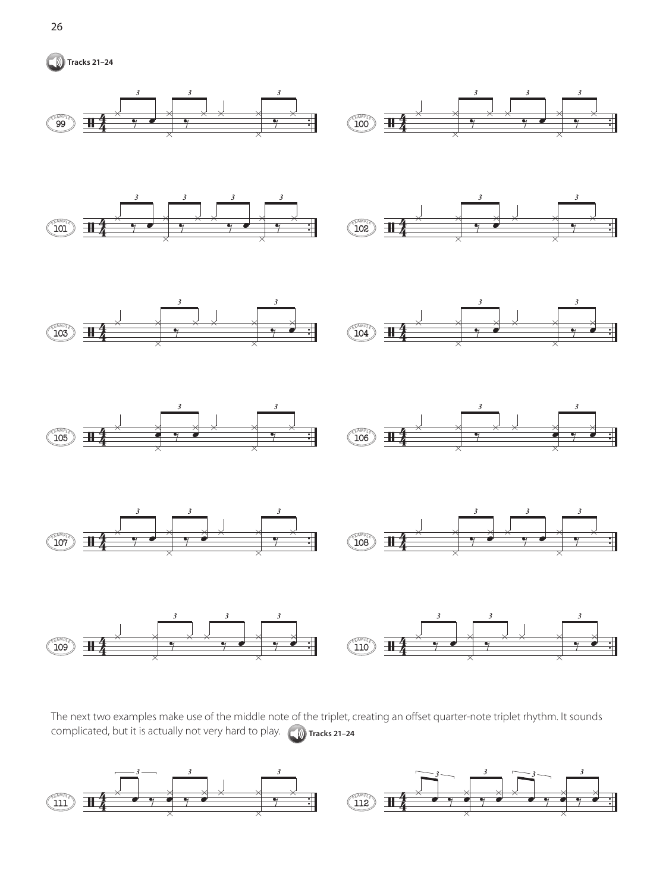



The next two examples make use of the middle note of the triplet, creating an offset quarter-note triplet rhythm. It sounds complicated, but it is actually not very hard to play. **Dumaries 21-24** 

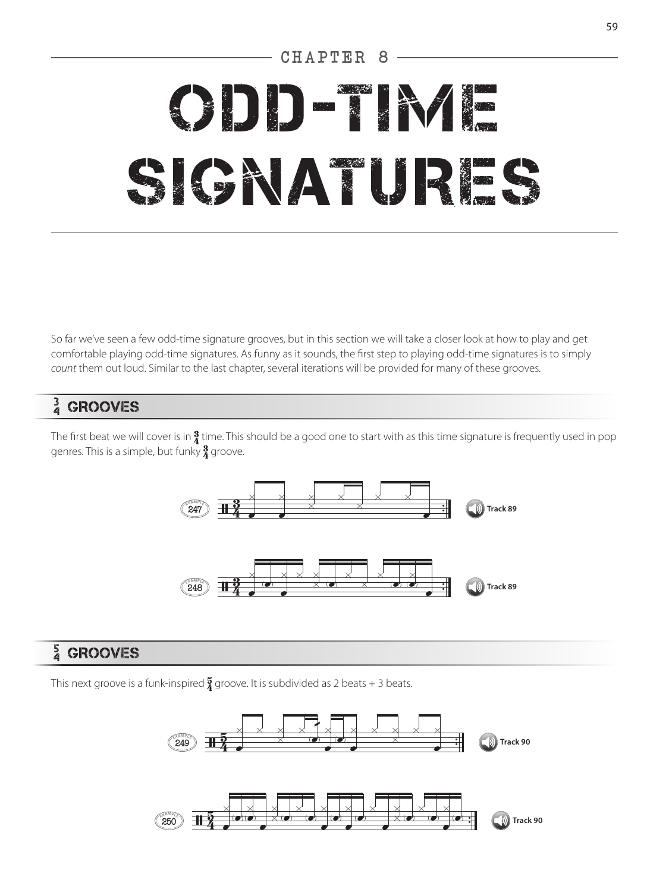# CHAPTER 8 ODD‑TIME SIGNATURES

So far we've seen a few odd-time signature grooves, but in this section we will take a closer look at how to play and get comfortable playing odd‑time signatures. As funny as it sounds, the first step to playing odd‑time signatures is to simply *count* them out loud. Similar to the last chapter, several iterations will be provided for many of these grooves.

# 3 4 GROOVES

The first beat we will cover is in  $\frac{3}{4}$  time. This should be a good one to start with as this time signature is frequently used in pop genres. This is a simple, but funky  $\frac{3}{4}$  groove.



# 5 4 GROOVES

This next groove is a funk-inspired  $\frac{5}{4}$  groove. It is subdivided as 2 beats + 3 beats.

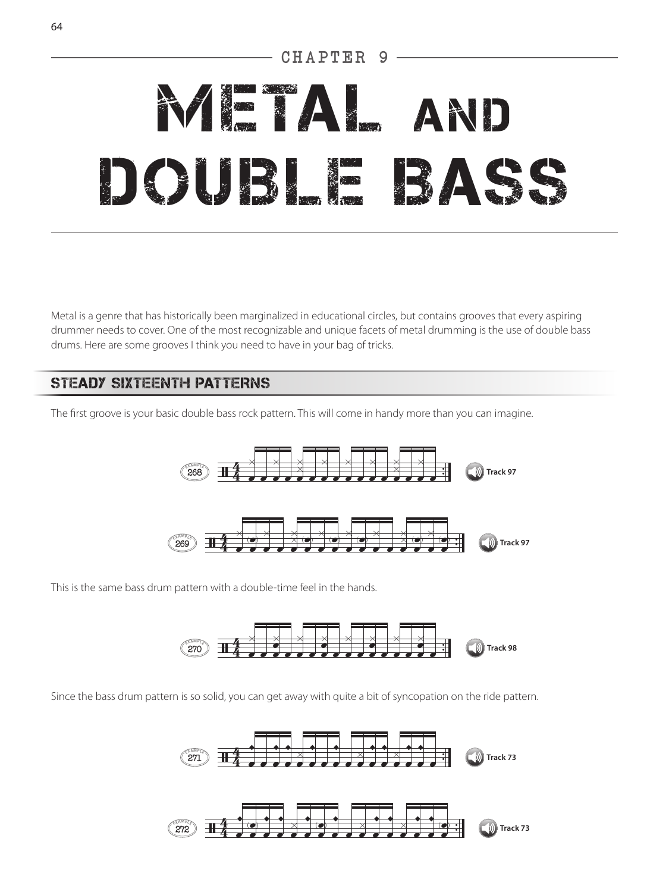# CHAPTER

# **METAL AND** DOUBLE BAS

Metal is a genre that has historically been marginalized in educational circles, but contains grooves that every aspiring drummer needs to cover. One of the most recognizable and unique facets of metal drumming is the use of double bass drums. Here are some grooves I think you need to have in your bag of tricks.

## STEADY SIXTEENTH PATTERNS

The first groove is your basic double bass rock pattern. This will come in handy more than you can imagine.



This is the same bass drum pattern with a double-time feel in the hands.



Since the bass drum pattern is so solid, you can get away with quite a bit of syncopation on the ride pattern.

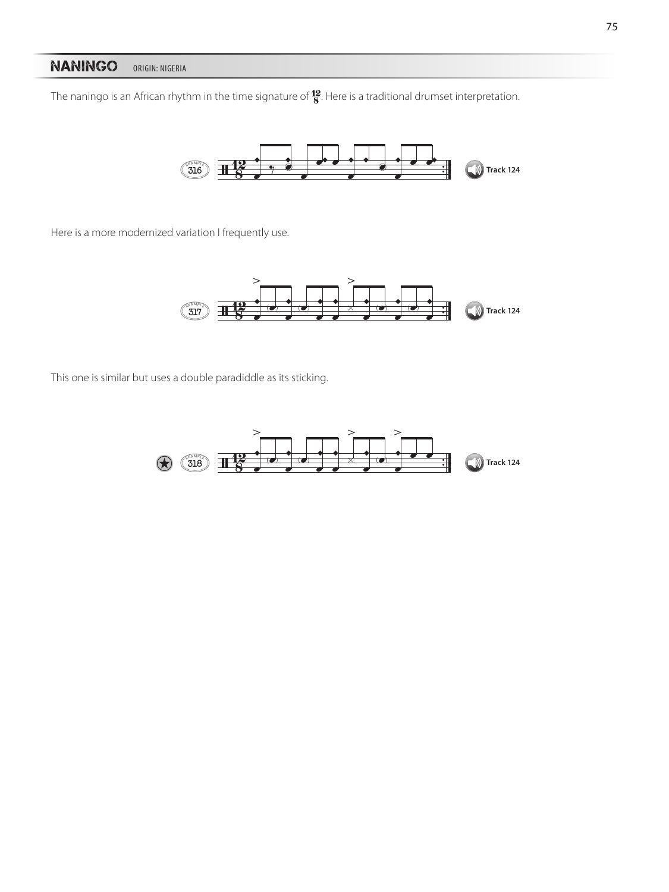### NANINGO ORIGIN: NIGERIA

The naningo is an African rhythm in the time signature of  $\frac{12}{8}$ . Here is a traditional drumset interpretation.



Here is a more modernized variation I frequently use.



This one is similar but uses a double paradiddle as its sticking.